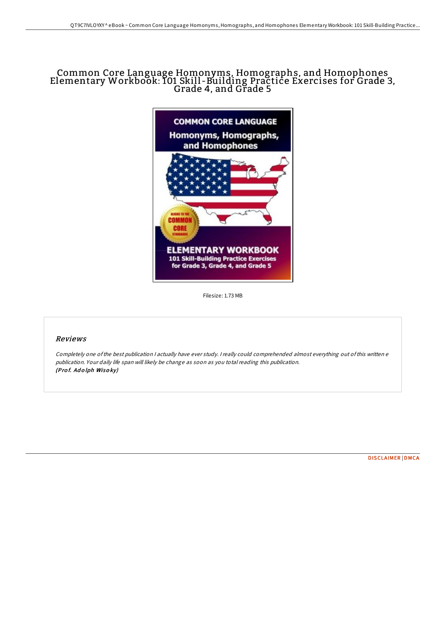# Common Core Language Homonyms, Homographs, and Homophones Elementary Workbook: <sup>101</sup> Skill -Building Practice Exercises for Grade 3, Grade 4, and Grade <sup>5</sup>



Filesize: 1.73 MB

# Reviews

Completely one ofthe best publication <sup>I</sup> actually have ever study. <sup>I</sup> really could comprehended almost everything out ofthis written <sup>e</sup> publication. Your daily life span will likely be change as soon as you total reading this publication. (Prof. Adolph Wisoky)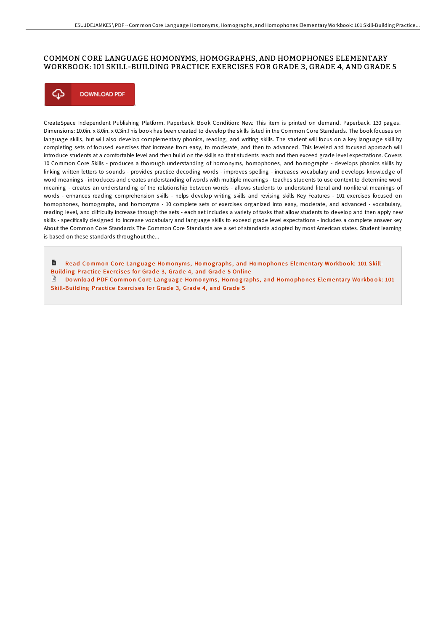# COMMON CORE LANGUAGE HOMONYMS, HOMOGRAPHS, AND HOMOPHONES ELEMENTARY WORKBOOK: 101 SKILL-BUILDING PRACTICE EXERCISES FOR GRADE 3, GRADE 4, AND GRADE 5



CreateSpace Independent Publishing Platform. Paperback. Book Condition: New. This item is printed on demand. Paperback. 130 pages. Dimensions: 10.0in. x 8.0in. x 0.3in.This book has been created to develop the skills listed in the Common Core Standards. The book focuses on language skills, but will also develop complementary phonics, reading, and writing skills. The student will focus on a key language skill by completing sets of focused exercises that increase from easy, to moderate, and then to advanced. This leveled and focused approach will introduce students at a comfortable level and then build on the skills so that students reach and then exceed grade level expectations. Covers 10 Common Core Skills - produces a thorough understanding of homonyms, homophones, and homographs - develops phonics skills by linking written letters to sounds - provides practice decoding words - improves spelling - increases vocabulary and develops knowledge of word meanings - introduces and creates understanding of words with multiple meanings - teaches students to use context to determine word meaning - creates an understanding of the relationship between words - allows students to understand literal and nonliteral meanings of words - enhances reading comprehension skills - helps develop writing skills and revising skills Key Features - 101 exercises focused on homophones, homographs, and homonyms - 10 complete sets of exercises organized into easy, moderate, and advanced - vocabulary, reading level, and difficulty increase through the sets - each set includes a variety of tasks that allow students to develop and then apply new skills - specifically designed to increase vocabulary and language skills to exceed grade level expectations - includes a complete answer key About the Common Core Standards The Common Core Standards are a set of standards adopted by most American states. Student learning is based on these standards throughout the...

B Read Common Core Language Homonyms, Homographs, and Homophones [Elementary](http://almighty24.tech/common-core-language-homonyms-homographs-and-hom.html) Workbook: 101 Skill-Building Practice Exercises for Grade 3, Grade 4, and Grade 5 Online  $\Box$  Download PDF Common Core Language Homonyms, Homographs, and Homophones [Elementary](http://almighty24.tech/common-core-language-homonyms-homographs-and-hom.html) Workbook: 101

Skill-Building Practice Exercises for Grade 3, Grade 4, and Grade 5